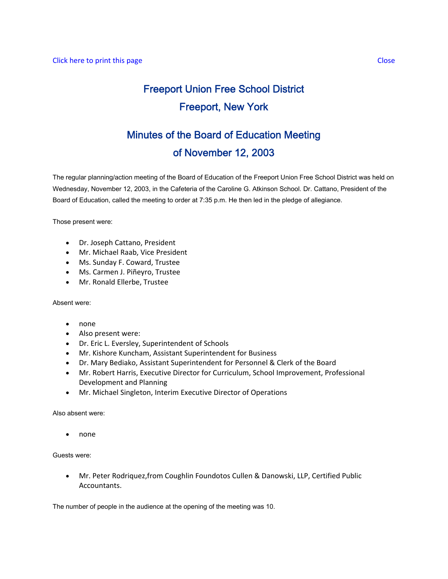# Freeport Union Free School District Freeport, New York

# Minutes of the Board of Education Meeting of November 12, 2003

The regular planning/action meeting of the Board of Education of the Freeport Union Free School District was held on Wednesday, November 12, 2003, in the Cafeteria of the Caroline G. Atkinson School. Dr. Cattano, President of the Board of Education, called the meeting to order at 7:35 p.m. He then led in the pledge of allegiance.

Those present were:

- Dr. Joseph Cattano, President
- Mr. Michael Raab, Vice President
- Ms. Sunday F. Coward, Trustee
- Ms. Carmen J. Piñeyro, Trustee
- Mr. Ronald Ellerbe, Trustee

Absent were:

- none
- Also present were:
- Dr. Eric L. Eversley, Superintendent of Schools
- Mr. Kishore Kuncham, Assistant Superintendent for Business
- Dr. Mary Bediako, Assistant Superintendent for Personnel & Clerk of the Board
- Mr. Robert Harris, Executive Director for Curriculum, School Improvement, Professional Development and Planning
- Mr. Michael Singleton, Interim Executive Director of Operations

Also absent were:

• none

Guests were:

• Mr. Peter Rodriquez,from Coughlin Foundotos Cullen & Danowski, LLP, Certified Public Accountants.

The number of people in the audience at the opening of the meeting was 10.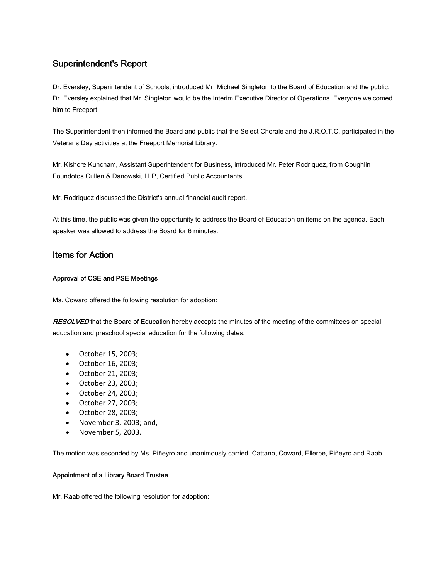## Superintendent's Report

Dr. Eversley, Superintendent of Schools, introduced Mr. Michael Singleton to the Board of Education and the public. Dr. Eversley explained that Mr. Singleton would be the Interim Executive Director of Operations. Everyone welcomed him to Freeport.

The Superintendent then informed the Board and public that the Select Chorale and the J.R.O.T.C. participated in the Veterans Day activities at the Freeport Memorial Library.

Mr. Kishore Kuncham, Assistant Superintendent for Business, introduced Mr. Peter Rodriquez, from Coughlin Foundotos Cullen & Danowski, LLP, Certified Public Accountants.

Mr. Rodriquez discussed the District's annual financial audit report.

At this time, the public was given the opportunity to address the Board of Education on items on the agenda. Each speaker was allowed to address the Board for 6 minutes.

## Items for Action

#### Approval of CSE and PSE Meetings

Ms. Coward offered the following resolution for adoption:

RESOLVED that the Board of Education hereby accepts the minutes of the meeting of the committees on special education and preschool special education for the following dates:

- October 15, 2003;
- October 16, 2003;
- October 21, 2003;
- October 23, 2003;
- October 24, 2003;
- October 27, 2003;
- October 28, 2003;
- November 3, 2003; and,
- November 5, 2003.

The motion was seconded by Ms. Piñeyro and unanimously carried: Cattano, Coward, Ellerbe, Piñeyro and Raab.

#### Appointment of a Library Board Trustee

Mr. Raab offered the following resolution for adoption: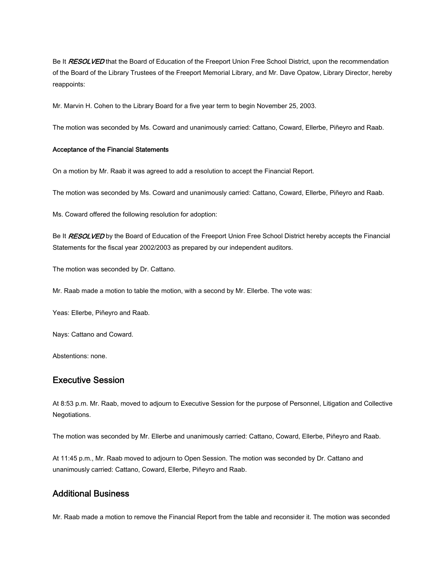Be It RESOLVED that the Board of Education of the Freeport Union Free School District, upon the recommendation of the Board of the Library Trustees of the Freeport Memorial Library, and Mr. Dave Opatow, Library Director, hereby reappoints:

Mr. Marvin H. Cohen to the Library Board for a five year term to begin November 25, 2003.

The motion was seconded by Ms. Coward and unanimously carried: Cattano, Coward, Ellerbe, Piñeyro and Raab.

#### Acceptance of the Financial Statements

On a motion by Mr. Raab it was agreed to add a resolution to accept the Financial Report.

The motion was seconded by Ms. Coward and unanimously carried: Cattano, Coward, Ellerbe, Piñeyro and Raab.

Ms. Coward offered the following resolution for adoption:

Be It RESOLVED by the Board of Education of the Freeport Union Free School District hereby accepts the Financial Statements for the fiscal year 2002/2003 as prepared by our independent auditors.

The motion was seconded by Dr. Cattano.

Mr. Raab made a motion to table the motion, with a second by Mr. Ellerbe. The vote was:

Yeas: Ellerbe, Piñeyro and Raab.

Nays: Cattano and Coward.

Abstentions: none.

### Executive Session

At 8:53 p.m. Mr. Raab, moved to adjourn to Executive Session for the purpose of Personnel, Litigation and Collective Negotiations.

The motion was seconded by Mr. Ellerbe and unanimously carried: Cattano, Coward, Ellerbe, Piñeyro and Raab.

At 11:45 p.m., Mr. Raab moved to adjourn to Open Session. The motion was seconded by Dr. Cattano and unanimously carried: Cattano, Coward, Ellerbe, Piñeyro and Raab.

### Additional Business

Mr. Raab made a motion to remove the Financial Report from the table and reconsider it. The motion was seconded